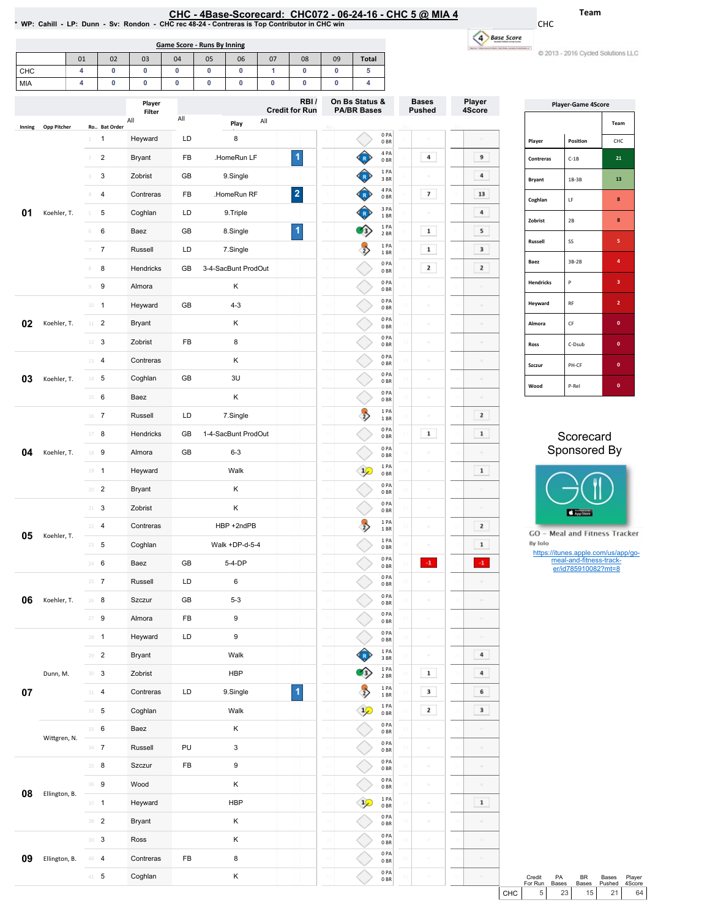KHC-4Base-Scorecard: CHC072 - 06-24-16 - CHC 5 @ MIA 4 ـ VP: Cahill - LP: Dunn - Sv: Rondon - CHCrec 48-24 - Contreras is Top Contributor in CHC win

Game Score - Runs By Inning

Team

CHC

4 Base Score .<br>National contracts

-C 2013 - 2016 Cycled Solutions LLC

|                       | 01                  | 02                             | 03                             | 04       | 05        | 06                       | 07  | 08                            | 09                      | <b>Total</b>                         |                         |                               |                                                                                                                                                                                                                                                                                                                                                                                                                         |
|-----------------------|---------------------|--------------------------------|--------------------------------|----------|-----------|--------------------------|-----|-------------------------------|-------------------------|--------------------------------------|-------------------------|-------------------------------|-------------------------------------------------------------------------------------------------------------------------------------------------------------------------------------------------------------------------------------------------------------------------------------------------------------------------------------------------------------------------------------------------------------------------|
| CHC                   | 4                   | $\pmb{0}$                      | $\pmb{0}$                      | 0        | $\pmb{0}$ | 0                        | 1   | 0                             | 0                       | 5                                    |                         |                               |                                                                                                                                                                                                                                                                                                                                                                                                                         |
| MIA                   | 4                   | 0                              | 0                              | $\bf{0}$ | 0         | 0                        | 0   | 0                             | 0                       | 4                                    |                         |                               |                                                                                                                                                                                                                                                                                                                                                                                                                         |
|                       |                     |                                | Player<br><b>Filter</b><br>All | All      |           | Play                     | All | RBI/<br><b>Credit for Run</b> |                         | On Bs Status &<br><b>PA/BR Bases</b> |                         | <b>Bases</b><br><b>Pushed</b> | Player<br>4Score                                                                                                                                                                                                                                                                                                                                                                                                        |
| Opp Pitcher<br>Inning | $\perp$             | Ro., Bat Order<br>$\mathbf{1}$ | Heyward                        | LD       |           | 8                        |     |                               |                         |                                      | 0 PA                    |                               |                                                                                                                                                                                                                                                                                                                                                                                                                         |
|                       | $\overline{2}$      | $\overline{2}$                 | Bryant                         | FB       |           | .HomeRun LF              |     | $\overline{\mathbf{1}}$       |                         |                                      | 0 BR<br>4 PA            | 4                             | 9                                                                                                                                                                                                                                                                                                                                                                                                                       |
|                       | 3                   | 3                              | Zobrist                        | GB       |           | 9.Single                 |     |                               |                         |                                      | 0BR<br>1PA              | $\alpha$                      | 4                                                                                                                                                                                                                                                                                                                                                                                                                       |
|                       | 4                   | $\overline{4}$                 | Contreras                      | FB       |           | .HomeRun RF              |     | $\overline{\mathbf{c}}$       |                         |                                      | 3 BR<br>4 PA            | $\boldsymbol{7}$              | 13                                                                                                                                                                                                                                                                                                                                                                                                                      |
| 01                    |                     |                                |                                | LD       |           |                          |     |                               |                         |                                      | 0BR<br>3 PA             | $\equiv$                      | 4                                                                                                                                                                                                                                                                                                                                                                                                                       |
| Koehler, T.           | 5                   | 5                              | Coghlan                        |          |           | 9.Triple                 |     | 1                             | $\overline{6}$          |                                      | 1BR<br>1PA              | $\mathbf 1$                   | 5                                                                                                                                                                                                                                                                                                                                                                                                                       |
|                       | $\,$ $\,$ $\,$<br>7 | 6<br>$\overline{7}$            | Baez<br>Russell                | GB<br>LD |           | 8.Single<br>7.Single     |     |                               |                         | ◈<br>$\rightarrow$                   | 2 BR<br>1PA             | $\mathbf 1$                   | 3                                                                                                                                                                                                                                                                                                                                                                                                                       |
|                       |                     |                                |                                |          |           |                          |     |                               |                         |                                      | 1BR<br>0PA              | 2                             |                                                                                                                                                                                                                                                                                                                                                                                                                         |
|                       | $\rm 8$             | 8<br>9                         | Hendricks                      | GB       |           | 3-4-SacBunt ProdOut<br>Κ |     |                               | 8                       |                                      | 0 BR<br>0PA             |                               | 2                                                                                                                                                                                                                                                                                                                                                                                                                       |
|                       | 9                   |                                | Almora                         |          |           |                          |     |                               |                         |                                      | 0 <sub>BR</sub><br>0PA  | $\Box$                        |                                                                                                                                                                                                                                                                                                                                                                                                                         |
|                       |                     | $10\,$<br>$\mathbf{1}$         | Heyward                        | GB       |           | $4 - 3$                  |     |                               |                         |                                      | 0 <sub>BR</sub><br>0PA  | $\equiv$                      |                                                                                                                                                                                                                                                                                                                                                                                                                         |
| 02<br>Koehler, T.     |                     | $11$ – $2$                     | Bryant                         |          |           | Κ                        |     |                               |                         |                                      | 0 BR<br>0PA             | $\Box$                        |                                                                                                                                                                                                                                                                                                                                                                                                                         |
|                       |                     | 3<br>12                        | Zobrist                        | FB       |           | 8                        |     |                               |                         |                                      | 0 <sub>BR</sub><br>0PA  | $\Box$                        |                                                                                                                                                                                                                                                                                                                                                                                                                         |
|                       |                     | $\overline{\mathbf{4}}$<br>13  | Contreras                      |          |           | Κ                        |     |                               |                         |                                      | 0 <sub>BR</sub><br>0PA  | $\Box$                        | $\overline{a}$                                                                                                                                                                                                                                                                                                                                                                                                          |
| 03                    | Koehler, T.         | $14 - 5$                       | Coghlan                        | GB       |           | 3U                       |     |                               |                         |                                      | 0BR<br>0PA              | $\Box$                        |                                                                                                                                                                                                                                                                                                                                                                                                                         |
|                       |                     | 15 6                           | Baez                           |          |           | Κ                        |     |                               |                         |                                      | 0 BR<br>1PA             | $\Box$                        |                                                                                                                                                                                                                                                                                                                                                                                                                         |
|                       |                     | $16$ 7                         | Russell                        | LD       |           | 7.Single                 |     |                               | 16                      | $\rightarrow$                        | 1 BR<br>0PA             | $\Box$                        | $\mathbf{2}% =\mathbf{2}+\mathbf{2}+\mathbf{3}+\mathbf{5}+\mathbf{5}+\mathbf{5}+\mathbf{6}+\mathbf{6}+\mathbf{5}+\mathbf{5}+\mathbf{6}+\mathbf{5}+\mathbf{6}+\mathbf{6}+\mathbf{5}+\mathbf{5}+\mathbf{6}+\mathbf{5}+\mathbf{6}+\mathbf{6}+\mathbf{5}+\mathbf{6}+\mathbf{6}+\mathbf{5}+\mathbf{6}+\mathbf{6}+\mathbf{6}+\mathbf{6}+\mathbf{6}+\mathbf{6}+\mathbf{6}+\mathbf{6}+\mathbf{6}+\mathbf{6}+\mathbf{6}+\mathbf$ |
|                       |                     | 8<br>17                        | Hendricks                      | GB       |           | 1-4-SacBunt ProdOut      |     |                               |                         |                                      | 0 <sub>BR</sub><br>0PA  | $\mathbf 1$                   | $\mathbf 1$                                                                                                                                                                                                                                                                                                                                                                                                             |
| 04<br>Koehler, T.     |                     | 9<br>18                        | Almora                         | GB       |           | $6 - 3$                  |     |                               |                         |                                      | 0 BR<br>1 PA            |                               |                                                                                                                                                                                                                                                                                                                                                                                                                         |
|                       |                     | $19 - 1$                       | Heyward                        |          |           | Walk                     |     |                               | 19                      | $\frac{1}{2}$                        | 0BR<br>0PA              | $\Box$                        | $\mathbf 1$                                                                                                                                                                                                                                                                                                                                                                                                             |
|                       |                     | $\boldsymbol{2}$<br>20         | Bryant                         |          |           | Κ                        |     |                               |                         |                                      | 0 <sub>BR</sub><br>0PA  | $\equiv$                      |                                                                                                                                                                                                                                                                                                                                                                                                                         |
|                       |                     | 3<br>21                        | Zobrist                        |          |           | Κ                        |     |                               |                         |                                      | 0BR<br>1PA              | $\Box$                        |                                                                                                                                                                                                                                                                                                                                                                                                                         |
| 05<br>Koehler, T.     |                     | $\overline{4}$<br>22           | Contreras                      |          |           | HBP +2ndPB               |     |                               | 21                      | $\ddot{\mathbf{r}}$                  | 1BR<br>1 PA             | $\equiv$                      | $\mathbf{2}% =\mathbf{2}+\mathbf{2}+\mathbf{3}+\mathbf{5}+\mathbf{5}+\mathbf{5}+\mathbf{6}+\mathbf{6}+\mathbf{5}+\mathbf{5}+\mathbf{6}+\mathbf{5}+\mathbf{6}+\mathbf{6}+\mathbf{5}+\mathbf{5}+\mathbf{6}+\mathbf{5}+\mathbf{6}+\mathbf{6}+\mathbf{6}+\mathbf{5}+\mathbf{6}+\mathbf{6}+\mathbf{6}+\mathbf{6}+\mathbf{6}+\mathbf{6}+\mathbf{6}+\mathbf{6}+\mathbf{6}+\mathbf{6}+\mathbf{6}+\mathbf{6}+\mathbf{6}+\mathbf$ |
|                       |                     | 5<br>23                        | Coghlan                        |          |           | Walk +DP-d-5-4           |     |                               |                         |                                      | 0 <sub>BR</sub><br>0 PA | $\Box$                        | $\mathbf 1$                                                                                                                                                                                                                                                                                                                                                                                                             |
|                       |                     | 6<br>24                        | Baez                           | GB       |           | 5-4-DP                   |     |                               |                         |                                      | 0BR<br>0 PA             | $\cdot 1$                     | $\cdot 1$                                                                                                                                                                                                                                                                                                                                                                                                               |
|                       |                     | $25 \t 7$                      | Russell                        | LD       |           | 6                        |     |                               |                         |                                      | 0 BR<br>0PA             |                               |                                                                                                                                                                                                                                                                                                                                                                                                                         |
| 06<br>Koehler, T.     |                     | $26$ 8                         | Szczur                         | GB       |           | $5 - 3$                  |     |                               |                         |                                      | 0B<br>0PA               | $\equiv$                      |                                                                                                                                                                                                                                                                                                                                                                                                                         |
|                       |                     | 27<br>$\boldsymbol{9}$         | Almora                         | FB       |           | 9                        |     |                               |                         |                                      | 0BR                     | $\Box$                        |                                                                                                                                                                                                                                                                                                                                                                                                                         |
|                       |                     | $28 - 1$                       | Heyward                        | LD       |           | 9                        |     |                               | 28                      |                                      | 0 PA<br>0B<br>1 PA      | $\Box$                        |                                                                                                                                                                                                                                                                                                                                                                                                                         |
|                       |                     | $29 - 2$                       | Bryant                         |          |           | Walk                     |     |                               |                         |                                      | $3\;\mathrm{BR}$<br>1PA | $\Box$                        | 4                                                                                                                                                                                                                                                                                                                                                                                                                       |
| Dunn, M.              |                     | 30<br>3                        | Zobrist                        |          |           | <b>HBP</b>               |     |                               | $\overline{\mathbf{3}}$ | Э                                    | 2 BR                    | $\mathbf 1$                   | 4                                                                                                                                                                                                                                                                                                                                                                                                                       |
| 07                    |                     | 31 4                           | Contreras                      | LD       |           | 9.Single                 |     | $\overline{1}$                | 31                      | $\ddot{\psi}$                        | 1 PA<br>1BR<br>1PA      | 3                             | 6                                                                                                                                                                                                                                                                                                                                                                                                                       |
|                       |                     | $32 - 5$                       | Coghlan                        |          |           | Walk                     |     |                               | 32                      | $\frac{1}{2}$                        | 0BR                     | $\mathbf{z}$                  | 3                                                                                                                                                                                                                                                                                                                                                                                                                       |
|                       | Wittgren, N.        | 33 6                           | Baez                           |          |           | Κ                        |     |                               | $\overline{3}$          |                                      | 0 PA<br>0 BR<br>0PA     | $\Box$                        |                                                                                                                                                                                                                                                                                                                                                                                                                         |
|                       |                     | $34 \t7$                       | Russell                        | PU       |           | 3                        |     |                               |                         |                                      | 0B                      | $\Box$                        |                                                                                                                                                                                                                                                                                                                                                                                                                         |
|                       |                     | 35 8                           | Szczur                         | FB       |           | 9                        |     |                               |                         |                                      | 0 PA<br>0 BR            | $\Box$                        |                                                                                                                                                                                                                                                                                                                                                                                                                         |
| 08                    | Ellington, B.       | 36 9                           | Wood                           |          |           | Κ                        |     |                               | 36                      |                                      | 0PA<br>$0\;\mathrm{BR}$ | $\Box$                        | $\overline{a}$                                                                                                                                                                                                                                                                                                                                                                                                          |
|                       |                     | $37 - 1$                       | Heyward                        |          |           | <b>HBP</b>               |     |                               |                         | $\frac{1}{2}$                        | 1PA<br>0B               | $\Box$                        | ${\bf 1}$                                                                                                                                                                                                                                                                                                                                                                                                               |
|                       |                     | $38$ 2                         | Bryant                         |          |           | Κ                        |     |                               |                         |                                      | 0 PA<br>0 BR            | $\equiv$                      |                                                                                                                                                                                                                                                                                                                                                                                                                         |
|                       |                     | 39 3                           | Ross                           |          |           | Κ                        |     |                               | 39                      |                                      | 0PA<br>0B               | $\Box$                        |                                                                                                                                                                                                                                                                                                                                                                                                                         |
| 09                    | Ellington, B.       | 40 4                           | Contreras                      | FB       |           | 8                        |     |                               | $\Delta$                |                                      | 0 PA<br>0 BR            | $\alpha$                      |                                                                                                                                                                                                                                                                                                                                                                                                                         |
|                       |                     | $\texttt{41} \quad \textbf{5}$ | Coghlan                        |          |           | Κ                        |     |                               |                         |                                      | 0 PA<br>0BR             |                               |                                                                                                                                                                                                                                                                                                                                                                                                                         |

Player-Game 4Score Team CHC Player Position Contreras C-1B Bryant 1B-3B 13 Coghlan LF 8 Zobrist 2B 8 Russell SS **Baez** 3B-2B Hendricks P  $\sim$ Heyward RF Almora CF Ross C-Dsub Szczur PH-CF Wood P-Rel

### **Scorecard** Sponsored By



GO - Meal and Fitness Tracker By Iolo

https://itunes.apple.com/us/app/go-meal-and-fitness-track-er/id785910082?mt=8

|       | Credit<br>For Run | PA<br><b>Bases</b> | <b>BR</b><br>Bases | Bases<br>Pushed | Player<br>4Score |  |
|-------|-------------------|--------------------|--------------------|-----------------|------------------|--|
| снс I | 5 <sup>1</sup>    | 23                 | 15 <sup>1</sup>    | 21 <sup>1</sup> | 64               |  |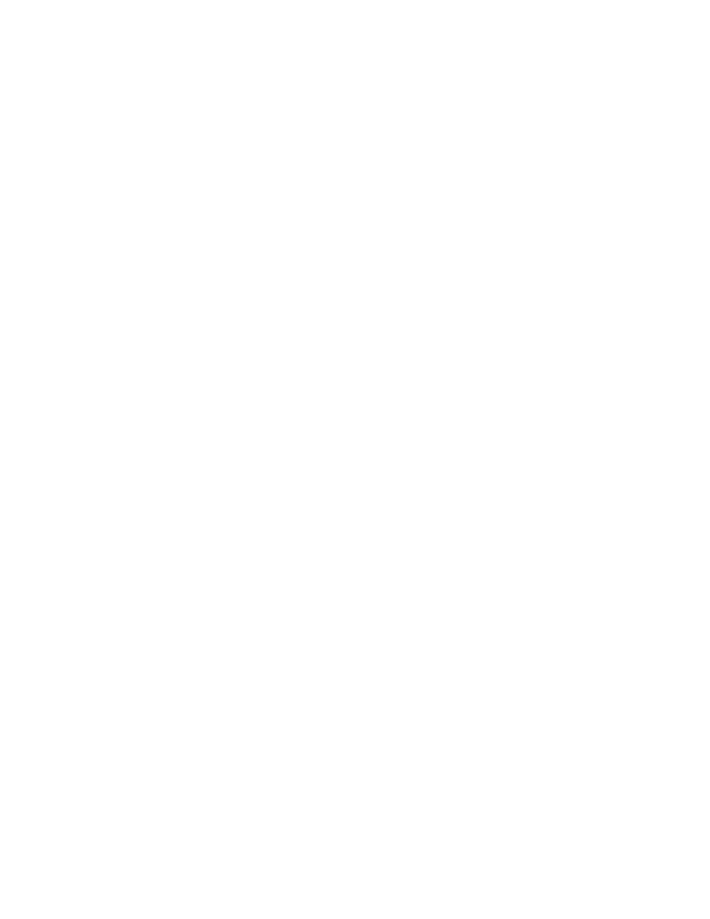| : 3 & DKLOD / 3 ' XQQ 6Y 5 RQGRQ & + & U+F |                    |                   | $8 + 8$              | %DVH6FRU+FDLG &+&<br>& ROMHUDV LV 7 RS & ROMMEXWRULQ & + & Z LQ |                      |                         |                               |                     | $8+8$ # 0.\$     |                |                                                           | d u                |                                |  |  |
|--------------------------------------------|--------------------|-------------------|----------------------|-----------------------------------------------------------------|----------------------|-------------------------|-------------------------------|---------------------|------------------|----------------|-----------------------------------------------------------|--------------------|--------------------------------|--|--|
|                                            |                    |                   |                      | ' u ^ } OEr Zuv• C/vv]vP                                        |                      |                         |                               |                     |                  |                |                                                           |                    |                                |  |  |
| ìí<br>$8 + 8$                              | ìî                 | ìï                | ìð                   | ìñ<br>ìò                                                        | ìó                   | ìô                      | ìõ<br>d}šo                    |                     |                  |                |                                                           |                    |                                |  |  |
| $0,$ \$                                    |                    |                   |                      |                                                                 |                      |                         |                               |                     |                  |                |                                                           |                    |                                |  |  |
|                                            |                    | Wb Ç Œ<br>8]oš OE |                      |                                                                 |                      | $5\%$<br>& UHGLWIRU5 XQ | 2 Q%V 6 VDWXV<br>3\$ %5 %DVHV |                     | %DVHV<br>3 XVKHG | 30 NU<br>6FRUH |                                                           | WoÇOE u ð^}Œ       |                                |  |  |
| /vv]vP K‰WjšZ0E                            | Z} XX ŠKŒ C        | $^\circledR$      | $\pmb{\circledcirc}$ | WoÇ                                                             | $\pmb{\circledcirc}$ |                         |                               |                     |                  |                |                                                           |                    | d u                            |  |  |
|                                            | í.                 | $+HZDUS$          | $\prime$             |                                                                 |                      |                         |                               | ì W<br>$i$ Z        |                  |                | Wo Ç Œ                                                    | W∙]Ÿ} v            | $^\circ$                       |  |  |
|                                            | $\hat{\perp}$      | %UDQW             | ) %                  | $+RP$ H <sub>5</sub> $XQ/$ )                                    |                      |                         |                               | ðW<br>ì Z           |                  |                | } všOEOE•                                                 | rí                 | îí                             |  |  |
|                                            | $\top$             | $=$ REUMV         | $^*$ %               | $61QJ$ $\Theta$                                                 |                      |                         |                               | í W<br>$i$ Z        |                  |                | 0Ç vš                                                     | íñ                 | íï                             |  |  |
|                                            | ð                  | & ROWHUDV         | ) %                  | $+RP$ H <sub>5</sub> $XQ5$ )                                    |                      |                         |                               | ðW<br>i Z           |                  |                | } PZo v                                                   | x                  | ô                              |  |  |
| $\langle \rangle$ Zo OEdX                  | ñ                  | & RJKOO           | $\prime$ .           | <b>7 UISOH</b>                                                  |                      |                         |                               | ïW<br>$i$ $z$       |                  |                | $\bullet$ } Opš                                           | $\hat{\mathbb{I}}$ | ô                              |  |  |
|                                            | ò                  | %DH               | $*$ %                | $61QJ$ $OH$                                                     |                      |                         |                               | í W<br>$i$ Z        |                  |                | Zµ. 00                                                    | $\sim$             |                                |  |  |
|                                            | ó                  | 5 XVMO            | $\prime$             | $61QJ$ $\Theta$                                                 |                      |                         |                               | í W<br>$i$ $z$      |                  |                | Ĵ.                                                        |                    | $\delta$                       |  |  |
|                                            | ô                  | + HQGUENV         | $*$ %                | 6 DF%XQ/8 URG2 XW                                               |                      |                         |                               | i W<br>i Z          |                  |                |                                                           | ï rî               |                                |  |  |
|                                            | $\tilde{\text{o}}$ | \$ @ RUD          |                      | $\cdot$                                                         |                      |                         |                               | ìW<br>$i$ Z         |                  |                | , v OEI•                                                  | W                  | $\top$                         |  |  |
|                                            | íì                 | $+HZDUS$          | * $%$                |                                                                 |                      |                         |                               | i W<br>i Z          |                  |                | , ÇÁ Œ                                                    | Z&                 | $\mathbf{f}$                   |  |  |
| $\langle \rangle$ Zo OBbX                  | - í í              | %UDQW             |                      | $\cdot$                                                         |                      |                         |                               | i W<br>i Z          |                  |                | $\omega \rangle$ OE                                       | &                  | $\mathbf{1}$                   |  |  |
|                                            | íî                 | $=$ REUMV         | ) %                  |                                                                 |                      |                         |                               | i W<br>i Z          |                  |                | Z} ••                                                     | $r \cdot \mu$      | $\mathbf{1}$                   |  |  |
|                                            | íï                 | & ROWHUDV         |                      |                                                                 |                      |                         |                               | ì W<br>i Z          |                  |                | ^Ì ÌμŒ                                                    | Wr &               | $\mathbf{1}$                   |  |  |
| $\langle \rangle$ Zo OBbX                  | íð                 | & RJKOO           | $*$ %                | 8                                                               |                      |                         |                               | ì W<br>i Z          |                  |                | $t$ } }                                                   | WZ o               | $\mathbf{I}$                   |  |  |
|                                            | íñ                 | %DH               |                      | $\mathcal{L}_{\mathcal{A}}$                                     |                      |                         |                               | i W<br>$i$ Z<br>í W |                  |                |                                                           |                    |                                |  |  |
|                                            | íò                 | 5 XVMO            | $\prime$ .           | $61QJ$ $OH$                                                     |                      |                         |                               | $i$ $z$<br>ì W      |                  |                |                                                           |                    |                                |  |  |
|                                            | íó                 | + HOGUENV         | * $%$                | 6 DF%XQ/8 URG2 XW                                               |                      |                         |                               | $i$ Z<br>i W        |                  |                |                                                           | 6 FRUHFDUG         |                                |  |  |
| $\prec$ } Zo OEblX                         | íô                 | \$ @ RUD          | * $%$                |                                                                 |                      |                         |                               | $i$ Z<br>í W        |                  |                |                                                           | 6 SRQVRUHG%        |                                |  |  |
|                                            | íõ                 | $+HZDUS$          |                      | $:$ DON                                                         |                      |                         |                               | i Z<br>ì W          |                  |                |                                                           |                    |                                |  |  |
|                                            | îì                 | %UDQW             |                      |                                                                 |                      |                         |                               | ì Z<br>i W          |                  |                |                                                           |                    |                                |  |  |
|                                            | îí                 | $=$ REUMV         |                      | $\blacksquare$                                                  |                      |                         |                               | i Z<br>í W          |                  |                |                                                           |                    |                                |  |  |
| $\langle \rangle$ Zo OBUX                  |                    | & ROWHUDV         |                      | $+$ %3 $Q$ G3%                                                  |                      |                         |                               | $i$ $z$<br>í W      |                  |                |                                                           |                    |                                |  |  |
|                                            | îΪ                 | & RJKODQ          |                      | : DON '3G                                                       |                      |                         |                               | $i$ Z<br>i W        |                  |                | KWASY LWACHY DSSOH FRP XV DSS JR<br>PHDCDCG ILMOHAV WIDEN |                    |                                |  |  |
|                                            | îŏ                 | %DH]              | $*$ %                | $\overline{\phantom{a}}$ $\overline{\phantom{a}}$ 3             |                      |                         |                               | i Z<br>ìW           |                  |                |                                                           | <b>HUIG</b>        | "PW                            |  |  |
|                                            | îñ                 | 5 XVMO            | $\prime$ .           |                                                                 |                      |                         |                               | $i$ Z<br>ìW         |                  |                |                                                           |                    |                                |  |  |
| $\langle \rangle$ Zo OBUX                  | îò                 | 6] FJ XU          | $*$ %                |                                                                 |                      |                         |                               | ìZ<br>i W           |                  |                |                                                           |                    |                                |  |  |
|                                            | ÎÓ                 | \$ @ RUD          | ) %<br>$\prime$ .    |                                                                 |                      |                         |                               | i Z<br>ìW           |                  |                |                                                           |                    |                                |  |  |
|                                            | îô<br>ÎÕ           | $+HZDIG$<br>%UDQW |                      | $:$ DON                                                         |                      |                         |                               | $i$ Z<br>í W        |                  |                |                                                           |                    |                                |  |  |
|                                            | $\top$             | $=$ REUMV         |                      | $+ \%3$                                                         |                      |                         |                               | $i$ Z<br>í W        |                  |                |                                                           |                    |                                |  |  |
| µvvUDX                                     | Tí.                | & ROWHUDV         | $\prime$ .           | $61QJ$ $OH$                                                     |                      |                         |                               | $i$ Z<br>í W        |                  |                |                                                           |                    |                                |  |  |
|                                            | ΪÎ                 | & RJKODQ          |                      | $:$ DON                                                         |                      |                         |                               | $i$ Z<br>í W        |                  |                |                                                           |                    |                                |  |  |
|                                            | $\top$             | %DHJ              |                      |                                                                 |                      |                         |                               | $i$ Z<br>ìW         |                  |                |                                                           |                    |                                |  |  |
| $t$ ) $CPCEV$ LEX –                        | ïð                 | 5 XVMO            | 38                   | $\bullet$                                                       |                      |                         |                               | $i$ Z<br>ì W        |                  |                |                                                           |                    |                                |  |  |
|                                            | īñ                 | 6] FJ XU          | ) %                  |                                                                 |                      |                         |                               | $i$ Z<br>i W        |                  |                |                                                           |                    |                                |  |  |
|                                            | ïò                 | :RRG              |                      | $\epsilon$                                                      |                      |                         |                               | $i$ Z<br>ìW         |                  |                |                                                           |                    |                                |  |  |
| oo]∨P§}∨UX                                 | ïó                 | $+HZDUS$          |                      | $+ \%3$                                                         |                      |                         |                               | $i$ Z<br>í W        |                  |                |                                                           |                    |                                |  |  |
|                                            | ïô                 | <b>%UDQW</b>      |                      | $\cdot$                                                         |                      |                         |                               | $i$ Z<br>i W        |                  |                |                                                           |                    |                                |  |  |
|                                            | ΪÕ                 | 5 RW              |                      | $\cdot$                                                         |                      |                         |                               | $i$ Z<br>ìW         |                  |                |                                                           |                    |                                |  |  |
| oo]vP§}vUX òi                              |                    | & ROWHUDV         | ) %                  |                                                                 |                      |                         |                               | $i$ Z<br>ìW         |                  |                |                                                           |                    |                                |  |  |
|                                            | ðí                 | & RJKOO           |                      |                                                                 |                      |                         |                               | $i$ Z<br>ìW         |                  |                | &UHGLW 3\$                                                | %5                 | %DM-N/ 300 HU                  |  |  |
|                                            |                    |                   |                      | $\bullet$                                                       |                      |                         |                               | $\frac{1}{2}$       |                  |                |                                                           |                    | RUSXQ %DVHV %DVHV 3XVKHG 6FRUH |  |  |

 $\frac{1}{8+8}$ 

 $d<sub>u</sub>$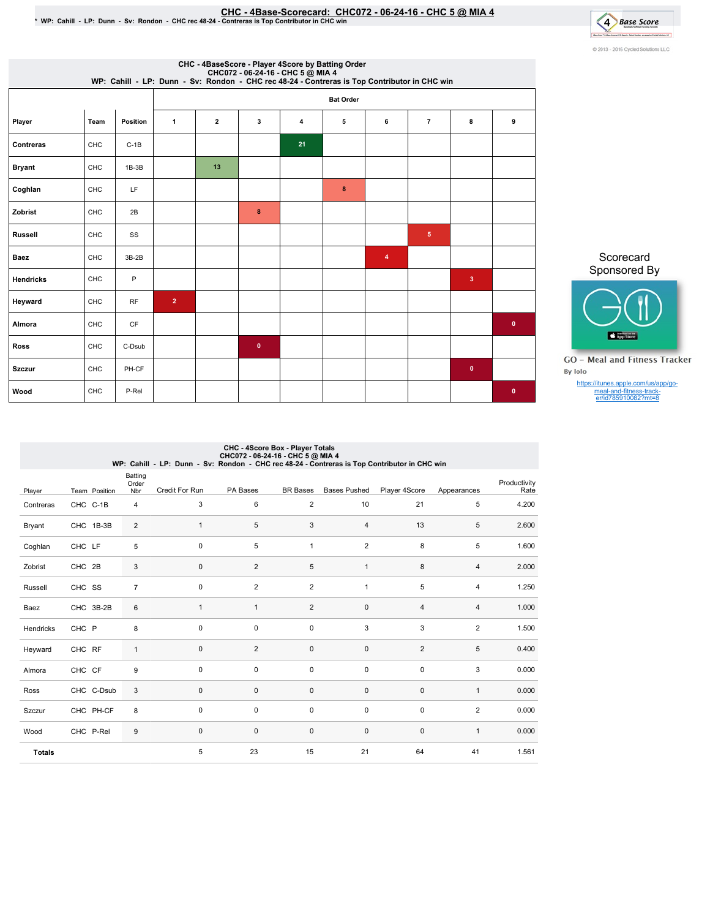## EHC - 4Base-Scorecard: CHC072 - 06-24-16 - CHC 5 @ MIA 4<br>\* WP: Cahill - LP: Dunn - Sv: Rondon - CHC rec 48-24 -Contreras is Top Contributor in CHC win



|                  | CHC - 4BaseScore - Player 4Score by Batting Order<br>WP: Cahill - LP: Dunn - Sv: Rondon - CHC 072-06-24-16 - CHC 5 @ MIA 4<br>WP: Cahill - LP: Dunn - Sv: Rondon - CHC rec 48-24 - Contreras is Top Contributor in CHC win |           |                |                  |           |    |   |   |                |                         |              |  |  |
|------------------|----------------------------------------------------------------------------------------------------------------------------------------------------------------------------------------------------------------------------|-----------|----------------|------------------|-----------|----|---|---|----------------|-------------------------|--------------|--|--|
|                  |                                                                                                                                                                                                                            |           |                | <b>Bat Order</b> |           |    |   |   |                |                         |              |  |  |
| Player           | Team                                                                                                                                                                                                                       | Position  | $\mathbf{1}$   | $\overline{2}$   | 3         | 4  | 5 | 6 | $\overline{7}$ | 8                       | 9            |  |  |
| Contreras        | CHC                                                                                                                                                                                                                        | $C-1B$    |                |                  |           | 21 |   |   |                |                         |              |  |  |
| <b>Bryant</b>    | CHC                                                                                                                                                                                                                        | $1B-3B$   |                | 13               |           |    |   |   |                |                         |              |  |  |
| Coghlan          | CHC                                                                                                                                                                                                                        | LF        |                |                  |           |    | 8 |   |                |                         |              |  |  |
| Zobrist          | CHC                                                                                                                                                                                                                        | 2B        |                |                  | $\bf{8}$  |    |   |   |                |                         |              |  |  |
| <b>Russell</b>   | CHC                                                                                                                                                                                                                        | SS        |                |                  |           |    |   |   | 5 <sub>5</sub> |                         |              |  |  |
| Baez             | CHC                                                                                                                                                                                                                        | $3B-2B$   |                |                  |           |    |   | 4 |                |                         |              |  |  |
| <b>Hendricks</b> | CHC                                                                                                                                                                                                                        | P         |                |                  |           |    |   |   |                | $\overline{\mathbf{3}}$ |              |  |  |
| Heyward          | CHC                                                                                                                                                                                                                        | <b>RF</b> | $\overline{2}$ |                  |           |    |   |   |                |                         |              |  |  |
| Almora           | CHC                                                                                                                                                                                                                        | CF        |                |                  |           |    |   |   |                |                         | $\bullet$    |  |  |
| <b>Ross</b>      | CHC                                                                                                                                                                                                                        | C-Dsub    |                |                  | $\pmb{0}$ |    |   |   |                |                         |              |  |  |
| <b>Szczur</b>    | CHC                                                                                                                                                                                                                        | PH-CF     |                |                  |           |    |   |   |                | $\bullet$               |              |  |  |
| Wood             | CHC                                                                                                                                                                                                                        | P-Rel     |                |                  |           |    |   |   |                |                         | $\mathbf{0}$ |  |  |



Scorecard

**GO** - Meal and Fitness Tracker By Iolo

https://itunes.apple.com/us/app/go-meal-and-fitness-track-er/id785910082?mt=8

# CHC - 4Score Box - Player Totals<br>CHC072 - 06-24-16 - CHC 75<br>WP: Cahill - LP: Dunn - Sv: Rondon - CHC rec 48-24 - Contreras is Top Contributor in CHC win

|               |               | Batting<br>Order |                |                |                 |                     |                |                | Productivity |
|---------------|---------------|------------------|----------------|----------------|-----------------|---------------------|----------------|----------------|--------------|
| Player        | Team Position | Nbr              | Credit For Run | PA Bases       | <b>BR</b> Bases | <b>Bases Pushed</b> | Player 4Score  | Appearances    | Rate         |
| Contreras     | CHC C-1B      | $\overline{4}$   | 3              | 6              | $\overline{2}$  | 10                  | 21             | 5              | 4.200        |
| Bryant        | CHC 1B-3B     | $\overline{2}$   | $\mathbf{1}$   | 5              | 3               | $\overline{4}$      | 13             | 5              | 2.600        |
| Coghlan       | CHC LF        | 5                | 0              | 5              | $\mathbf{1}$    | $\overline{2}$      | 8              | 5              | 1.600        |
| Zobrist       | CHC 2B        | 3                | $\pmb{0}$      | $\overline{2}$ | 5               | $\mathbf{1}$        | 8              | 4              | 2.000        |
| Russell       | CHC SS        | $\overline{7}$   | $\mathbf 0$    | $\overline{2}$ | $\overline{2}$  | $\mathbf{1}$        | 5              | 4              | 1.250        |
| Baez          | CHC 3B-2B     | 6                | $\mathbf{1}$   | $\mathbf{1}$   | $\overline{2}$  | $\pmb{0}$           | 4              | $\overline{4}$ | 1.000        |
| Hendricks     | CHC P         | 8                | $\mathbf 0$    | 0              | $\mathbf 0$     | 3                   | 3              | $\overline{2}$ | 1.500        |
| Heyward       | CHC RF        | $\mathbf{1}$     | 0              | $\overline{2}$ | $\pmb{0}$       | $\pmb{0}$           | $\overline{2}$ | 5              | 0.400        |
| Almora        | CHC CF        | 9                | $\pmb{0}$      | $\mathbf 0$    | $\mathbf 0$     | $\mathbf 0$         | $\mathbf 0$    | 3              | 0.000        |
| Ross          | CHC C-Dsub    | 3                | 0              | $\mathbf 0$    | $\mathbf 0$     | $\pmb{0}$           | $\pmb{0}$      | $\mathbf{1}$   | 0.000        |
| Szczur        | CHC PH-CF     | 8                | $\pmb{0}$      | $\pmb{0}$      | $\pmb{0}$       | $\pmb{0}$           | $\pmb{0}$      | $\overline{2}$ | 0.000        |
| Wood          | CHC P-Rel     | 9                | $\pmb{0}$      | $\pmb{0}$      | $\pmb{0}$       | $\pmb{0}$           | $\pmb{0}$      | $\mathbf{1}$   | 0.000        |
| <b>Totals</b> |               |                  | 5              | 23             | 15              | 21                  | 64             | 41             | 1.561        |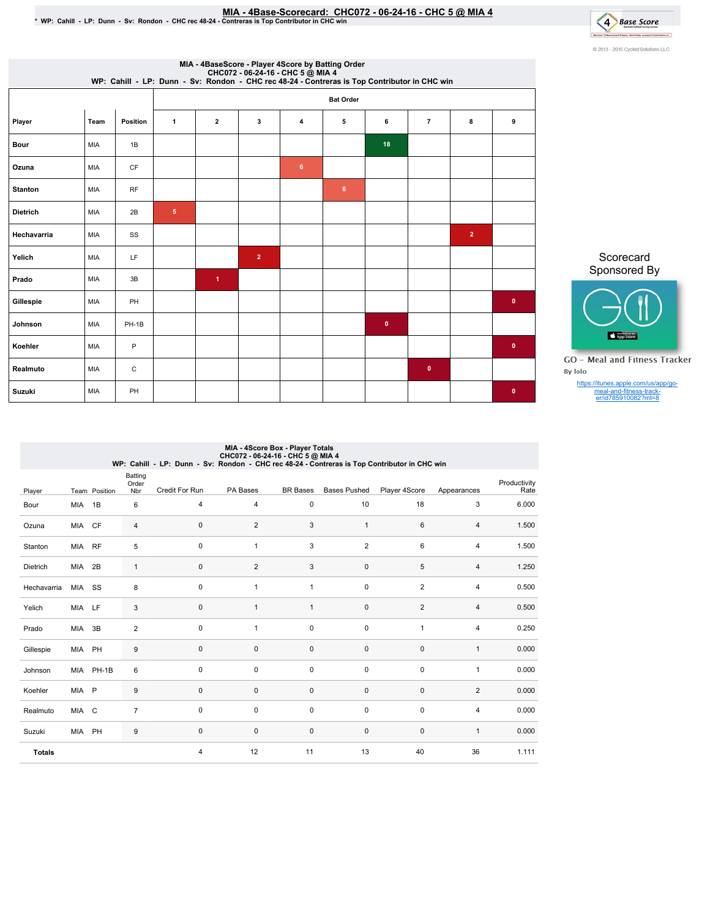## MIA - 4Base-Scorecard: CHC072 - 06-24-16 - CHC 5 @ MIA 4<br>\* WP: Cahill - LP: Dunn - Sv: Rondon - CHC rec 48-24 -Contreras is Top Contributor in CHC win



|                 | MIA - 4BaseScore - Player 4Score by Batting Order<br>WP: Cahill - LP: Dunn - Sv: Rondon - CHC072 - 06-24-16 - CHC 5 @ MIA 4<br>WP: Cahill - LP: Dunn - Sv: Rondon - CHC rec 48-24 - Contreras is Top Contributor in CHC win |              |              |                      |                |   |   |           |                |                |              |  |  |
|-----------------|-----------------------------------------------------------------------------------------------------------------------------------------------------------------------------------------------------------------------------|--------------|--------------|----------------------|----------------|---|---|-----------|----------------|----------------|--------------|--|--|
|                 |                                                                                                                                                                                                                             |              |              | <b>Bat Order</b>     |                |   |   |           |                |                |              |  |  |
| Player          | Team                                                                                                                                                                                                                        | Position     | $\mathbf{1}$ | $\overline{2}$       | 3              | 4 | 5 | 6         | $\overline{7}$ | 8              | 9            |  |  |
| <b>Bour</b>     | <b>MIA</b>                                                                                                                                                                                                                  | 1B           |              |                      |                |   |   | 18        |                |                |              |  |  |
| Ozuna           | MIA                                                                                                                                                                                                                         | <b>CF</b>    |              |                      |                | 6 |   |           |                |                |              |  |  |
| <b>Stanton</b>  | <b>MIA</b>                                                                                                                                                                                                                  | <b>RF</b>    |              |                      |                |   | 6 |           |                |                |              |  |  |
| <b>Dietrich</b> | MIA                                                                                                                                                                                                                         | 2B           | $\sqrt{5}$   |                      |                |   |   |           |                |                |              |  |  |
| Hechavarria     | MIA                                                                                                                                                                                                                         | SS           |              |                      |                |   |   |           |                | $\overline{2}$ |              |  |  |
| Yelich          | MIA                                                                                                                                                                                                                         | LF           |              |                      | $\overline{2}$ |   |   |           |                |                |              |  |  |
| Prado           | <b>MIA</b>                                                                                                                                                                                                                  | 3B           |              | $\blacktriangleleft$ |                |   |   |           |                |                |              |  |  |
| Gillespie       | <b>MIA</b>                                                                                                                                                                                                                  | <b>PH</b>    |              |                      |                |   |   |           |                |                | $\mathbf 0$  |  |  |
| Johnson         | MIA                                                                                                                                                                                                                         | $PH-1B$      |              |                      |                |   |   | $\bullet$ |                |                |              |  |  |
| Koehler         | MIA                                                                                                                                                                                                                         | P            |              |                      |                |   |   |           |                |                | $\mathbf{0}$ |  |  |
| Realmuto        | MIA                                                                                                                                                                                                                         | $\mathtt{C}$ |              |                      |                |   |   |           | $\pmb{0}$      |                |              |  |  |
| Suzuki          | MIA                                                                                                                                                                                                                         | PH           |              |                      |                |   |   |           |                |                | $\mathbf 0$  |  |  |

Scorecard Sponsored By



**GO** - Meal and Fitness Tracker By Iolo

https://itunes.apple.com/us/app/go-meal-and-fitness-track-er/id785910082?mt=8

## MIA - 4Score Box - Player Totals<br>CHC072 - 06-24-16 - CHC 20 - 2007<br>WP: Cahill - LP: Dunn - Sv: Rondon - CHC rec 48-24 - Contreras is Top Contributor in CHC win

Batting

| Player        |        | Team Position | <b>Batting</b><br>Order<br>Nbr | Credit For Run | PA Bases       | <b>BR</b> Bases | <b>Bases Pushed</b> | Player 4Score  | Appearances    | Productivity<br>Rate |
|---------------|--------|---------------|--------------------------------|----------------|----------------|-----------------|---------------------|----------------|----------------|----------------------|
| Bour          | MIA 1B |               | 6                              | 4              | 4              | $\pmb{0}$       | 10                  | 18             | 3              | 6.000                |
| Ozuna         | MIA CF |               | $\overline{4}$                 | 0              | $\overline{2}$ | 3               | $\mathbf{1}$        | 6              | $\overline{4}$ | 1.500                |
| Stanton       | MIA RF |               | 5                              | 0              | $\mathbf{1}$   | 3               | 2                   | 6              | $\overline{4}$ | 1.500                |
| Dietrich      | MIA    | 2B            | $\mathbf{1}$                   | 0              | $\overline{2}$ | 3               | $\pmb{0}$           | 5              | $\overline{4}$ | 1.250                |
| Hechavarria   | MIA SS |               | 8                              | 0              | 1              | $\mathbf{1}$    | $\pmb{0}$           | $\overline{2}$ | $\overline{4}$ | 0.500                |
| Yelich        | MIA LF |               | $\sqrt{3}$                     | 0              | $\mathbf{1}$   | $\mathbf{1}$    | $\pmb{0}$           | $\sqrt{2}$     | $\overline{4}$ | 0.500                |
| Prado         | MIA    | 3B            | $\sqrt{2}$                     | 0              | $\mathbf{1}$   | $\pmb{0}$       | $\pmb{0}$           | $\mathbf{1}$   | $\overline{4}$ | 0.250                |
| Gillespie     | MIA PH |               | $\boldsymbol{9}$               | 0              | $\pmb{0}$      | $\pmb{0}$       | $\pmb{0}$           | $\pmb{0}$      | $\mathbf{1}$   | 0.000                |
| Johnson       |        | MIA PH-1B     | 6                              | 0              | 0              | $\pmb{0}$       | $\pmb{0}$           | $\pmb{0}$      | $\mathbf{1}$   | 0.000                |
| Koehler       | MIA P  |               | $9\,$                          | 0              | 0              | 0               | $\mathbf 0$         | $\pmb{0}$      | $\overline{2}$ | 0.000                |
| Realmuto      | MIA C  |               | $\overline{7}$                 | 0              | 0              | 0               | 0                   | 0              | $\overline{4}$ | 0.000                |
| Suzuki        | MIA PH |               | $\boldsymbol{9}$               | 0              | $\pmb{0}$      | $\pmb{0}$       | $\pmb{0}$           | $\pmb{0}$      | $\mathbf{1}$   | 0.000                |
| <b>Totals</b> |        |               |                                | 4              | 12             | 11              | 13                  | 40             | 36             | 1.111                |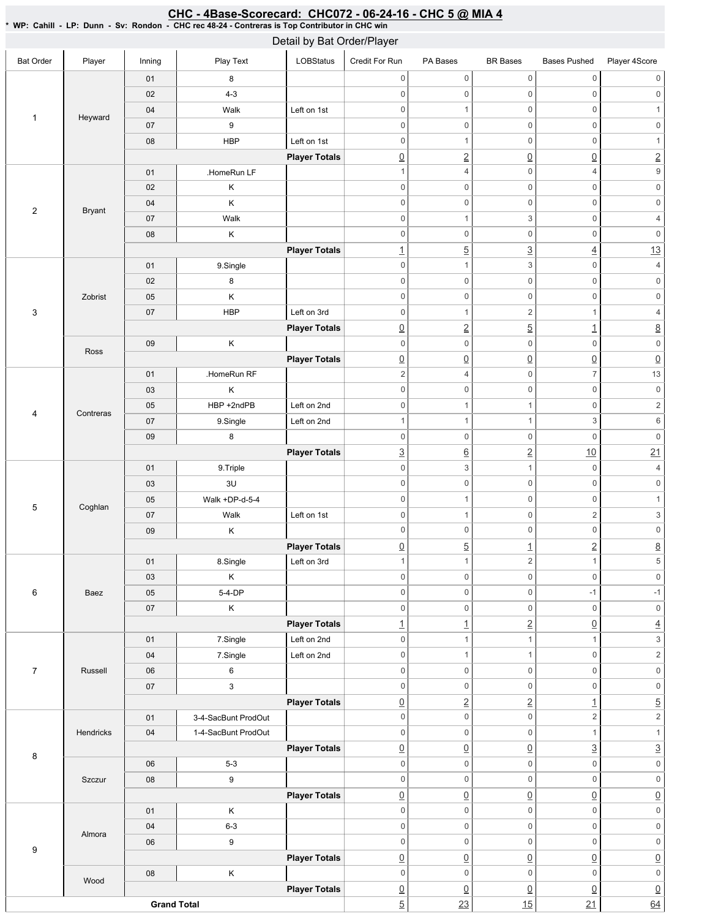#### Bat Order | Player | Inning | PlayText | LOBStatus Credit For Run PA Bases BR Bases Bases Pushed Player 4Score 1 Heyward 01 8 02 4-3 04 | Walk Left on 1st 07 9 08 | HBP | Left on 1st **Player Totals** 2 Bryant 01 .HomeRun LF 02 K 04 K 07 | Walk 08 K **Player Totals** 3 Zobrist 01 9.Single 02 8 05 K 07 HBP Left on 3rd **Player Totals** Ross 09 K **Player Totals** 4 Contreras 01 .HomeRun RF 03 K 05 | HBP +2ndPB | Left on 2nd 07 | 9.Single | Left on 2nd 09 8 **Player Totals** 5 Coghlan 01 9.Triple 03 3U 05 | Walk +DP-d-5-4 07 | Walk Left on 1st 09 K **Player Totals** 6 Baez 01 | 8.Single | Left on 3rd 03 K 05 5-4-DP 07 K **Player Totals** 7 Russell 01 | 7.Single | Left on 2nd 04 7.Single Left on 2nd 06 6 07 3 **Player Totals** 8 Hendricks 01 3-4-SacBunt ProdOut 04 1-4-SacBunt ProdOut **Player Totals** Szczur 06 5-3 08 9 **Player Totals** 9 Almora 01 K 04 6-3 06 9 **Player Totals** Wood 08 K **Player Totals Grand Total** 0 0 0 0 0 0 0 0 0 0 0 0 0 0 1 0 1 0 0 0 0 0 0 0 0 0 1 0 2 0 0 2 1 4 0 4 9 0 0 0 0 0 0 0 0 0 0 0 0 0 1 3 0 4 0 0 0 0 0 0 1  $\frac{1}{2}$  5  $\frac{3}{4}$  13 0 1 3 0 4 0 0 0 0 0 0 0 0 0 0 0 0 0 1 2 1 4  $\boxed{0}$  2 5 1 8 0 0 0 0 0 0  $\overline{0}$   $\overline{0}$   $\overline{0}$   $\overline{0}$   $\overline{0}$   $\overline{0}$   $\overline{0}$ 2 4 0 7 13 0 0 0 0 0 0 0 1 1 0 2 1 1 1 3 6 0 0 0 0 0 0  $\frac{3}{2}$  6 2 20  $\frac{10}{2}$  21 0 3 1 0 4 0 0 0 0 0 0 0 0 1 0 1 0 1 0 2 3 0 0 0 0 0 0  $\boxed{0}$   $\boxed{5}$   $\boxed{1}$   $\boxed{2}$   $\boxed{8}$ 1 1 2 1 5 0 0 0 0 0 0 0 0 -1 -1 0 0 0 0 0 0 1 1 2 0 4 0 1 1 1  $1$  3 0 1 1 0 2 0 0 0 0 0 0 0 0 0 0 0 0  $\boxed{0}$  2  $\boxed{2}$  1  $\boxed{5}$  $0 \qquad \qquad 0 \qquad \qquad 2 \qquad \qquad 2$  $0 \qquad 0 \qquad 0 \qquad 1 \qquad 1$ 0 0 0 3 3 0 0 0 0 0 0 0 0 0 0 0 0  $\overline{0}$   $\overline{0}$   $\overline{0}$   $\overline{0}$   $\overline{0}$   $\overline{0}$   $\overline{0}$ 0 0 0 0 0 0 0 0 0 0 0 0 0 0 0 0 0 0  $\overline{0}$   $\overline{0}$   $\overline{0}$   $\overline{0}$   $\overline{0}$   $\overline{0}$   $\overline{0}$ 0 0 0 0 0 0 0 0 0 0 0  $\frac{5}{2}$  23 15 21 64 Detail by Bat Order/Player

### <u>CHC - 4Base-Scorecard: CHC072 - 06-24-16 - CHC 5 @ MIA 4</u>

\*WP:Cahill-LP:Dunn-Sv:Rondon-CHCrec48-24-ContrerasisTopContributorinCHCwin